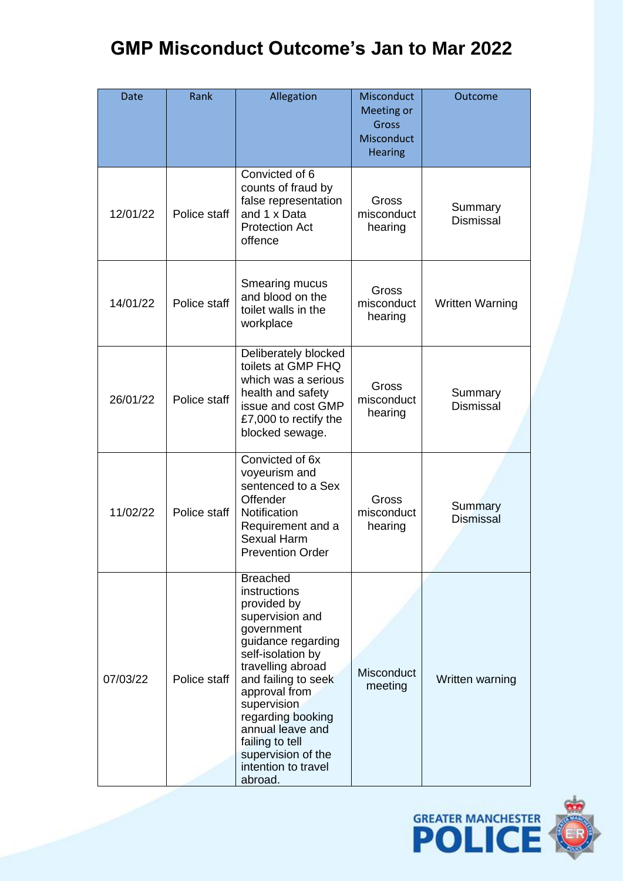| <b>Date</b> | Rank         | Allegation                                                                                                                                                                                                                                                                                                                 | Misconduct<br><b>Meeting or</b><br>Gross<br>Misconduct<br><b>Hearing</b> | Outcome                     |
|-------------|--------------|----------------------------------------------------------------------------------------------------------------------------------------------------------------------------------------------------------------------------------------------------------------------------------------------------------------------------|--------------------------------------------------------------------------|-----------------------------|
| 12/01/22    | Police staff | Convicted of 6<br>counts of fraud by<br>false representation<br>and 1 x Data<br><b>Protection Act</b><br>offence                                                                                                                                                                                                           | Gross<br>misconduct<br>hearing                                           | Summary<br><b>Dismissal</b> |
| 14/01/22    | Police staff | Smearing mucus<br>and blood on the<br>toilet walls in the<br>workplace                                                                                                                                                                                                                                                     | Gross<br>misconduct<br>hearing                                           | <b>Written Warning</b>      |
| 26/01/22    | Police staff | Deliberately blocked<br>toilets at GMP FHQ<br>which was a serious<br>health and safety<br>issue and cost GMP<br>£7,000 to rectify the<br>blocked sewage.                                                                                                                                                                   | Gross<br>misconduct<br>hearing                                           | Summary<br><b>Dismissal</b> |
| 11/02/22    | Police staff | Convicted of 6x<br>voyeurism and<br>sentenced to a Sex<br>Offender<br>Notification<br>Requirement and a<br><b>Sexual Harm</b><br><b>Prevention Order</b>                                                                                                                                                                   | Gross<br>misconduct<br>hearing                                           | Summary<br><b>Dismissal</b> |
| 07/03/22    | Police staff | <b>Breached</b><br>instructions<br>provided by<br>supervision and<br>government<br>guidance regarding<br>self-isolation by<br>travelling abroad<br>and failing to seek<br>approval from<br>supervision<br>regarding booking<br>annual leave and<br>failing to tell<br>supervision of the<br>intention to travel<br>abroad. | Misconduct<br>meeting                                                    | Written warning             |

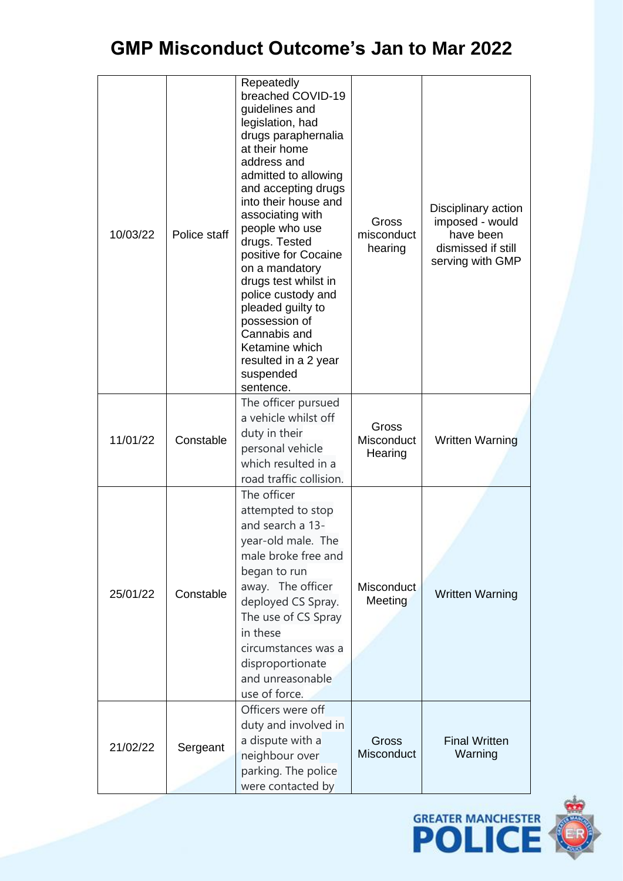| 10/03/22 | Police staff | Repeatedly<br>breached COVID-19<br>guidelines and<br>legislation, had<br>drugs paraphernalia<br>at their home<br>address and<br>admitted to allowing<br>and accepting drugs<br>into their house and<br>associating with<br>people who use<br>drugs. Tested<br>positive for Cocaine<br>on a mandatory<br>drugs test whilst in<br>police custody and<br>pleaded guilty to<br>possession of<br>Cannabis and<br>Ketamine which<br>resulted in a 2 year<br>suspended<br>sentence. | Gross<br>misconduct<br>hearing | Disciplinary action<br>imposed - would<br>have been<br>dismissed if still<br>serving with GMP |
|----------|--------------|------------------------------------------------------------------------------------------------------------------------------------------------------------------------------------------------------------------------------------------------------------------------------------------------------------------------------------------------------------------------------------------------------------------------------------------------------------------------------|--------------------------------|-----------------------------------------------------------------------------------------------|
| 11/01/22 | Constable    | The officer pursued<br>a vehicle whilst off<br>duty in their<br>personal vehicle<br>which resulted in a<br>road traffic collision.                                                                                                                                                                                                                                                                                                                                           | Gross<br>Misconduct<br>Hearing | <b>Written Warning</b>                                                                        |
| 25/01/22 | Constable    | The officer<br>attempted to stop<br>and search a 13-<br>year-old male. The<br>male broke free and<br>began to run<br>away. The officer<br>deployed CS Spray.<br>The use of CS Spray<br>in these<br>circumstances was a<br>disproportionate<br>and unreasonable<br>use of force.                                                                                                                                                                                              | <b>Misconduct</b><br>Meeting   | <b>Written Warning</b>                                                                        |
| 21/02/22 | Sergeant     | Officers were off<br>duty and involved in<br>a dispute with a<br>neighbour over<br>parking. The police<br>were contacted by                                                                                                                                                                                                                                                                                                                                                  | <b>Gross</b><br>Misconduct     | <b>Final Written</b><br>Warning                                                               |

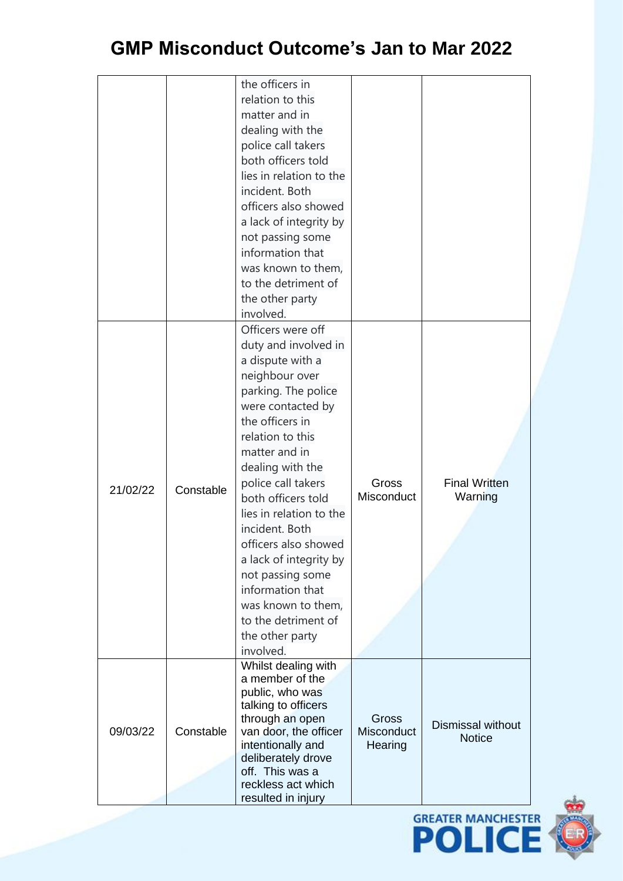| the officers in<br>relation to this<br>matter and in<br>dealing with the<br>police call takers<br>both officers told<br>lies in relation to the<br>incident. Both<br>officers also showed<br>a lack of integrity by<br>not passing some<br>information that<br>was known to them,<br>to the detriment of<br>the other party<br>involved.<br>Officers were off<br>duty and involved in<br>a dispute with a<br>neighbour over<br>parking. The police<br>were contacted by<br>the officers in<br>relation to this<br>matter and in |
|---------------------------------------------------------------------------------------------------------------------------------------------------------------------------------------------------------------------------------------------------------------------------------------------------------------------------------------------------------------------------------------------------------------------------------------------------------------------------------------------------------------------------------|
|                                                                                                                                                                                                                                                                                                                                                                                                                                                                                                                                 |
|                                                                                                                                                                                                                                                                                                                                                                                                                                                                                                                                 |
|                                                                                                                                                                                                                                                                                                                                                                                                                                                                                                                                 |
|                                                                                                                                                                                                                                                                                                                                                                                                                                                                                                                                 |
|                                                                                                                                                                                                                                                                                                                                                                                                                                                                                                                                 |
|                                                                                                                                                                                                                                                                                                                                                                                                                                                                                                                                 |
|                                                                                                                                                                                                                                                                                                                                                                                                                                                                                                                                 |
|                                                                                                                                                                                                                                                                                                                                                                                                                                                                                                                                 |
|                                                                                                                                                                                                                                                                                                                                                                                                                                                                                                                                 |
|                                                                                                                                                                                                                                                                                                                                                                                                                                                                                                                                 |
|                                                                                                                                                                                                                                                                                                                                                                                                                                                                                                                                 |
|                                                                                                                                                                                                                                                                                                                                                                                                                                                                                                                                 |
|                                                                                                                                                                                                                                                                                                                                                                                                                                                                                                                                 |
|                                                                                                                                                                                                                                                                                                                                                                                                                                                                                                                                 |
|                                                                                                                                                                                                                                                                                                                                                                                                                                                                                                                                 |
|                                                                                                                                                                                                                                                                                                                                                                                                                                                                                                                                 |
|                                                                                                                                                                                                                                                                                                                                                                                                                                                                                                                                 |
|                                                                                                                                                                                                                                                                                                                                                                                                                                                                                                                                 |
|                                                                                                                                                                                                                                                                                                                                                                                                                                                                                                                                 |
|                                                                                                                                                                                                                                                                                                                                                                                                                                                                                                                                 |
|                                                                                                                                                                                                                                                                                                                                                                                                                                                                                                                                 |
|                                                                                                                                                                                                                                                                                                                                                                                                                                                                                                                                 |
|                                                                                                                                                                                                                                                                                                                                                                                                                                                                                                                                 |
|                                                                                                                                                                                                                                                                                                                                                                                                                                                                                                                                 |
|                                                                                                                                                                                                                                                                                                                                                                                                                                                                                                                                 |
|                                                                                                                                                                                                                                                                                                                                                                                                                                                                                                                                 |
| dealing with the                                                                                                                                                                                                                                                                                                                                                                                                                                                                                                                |
| police call takers<br>Gross<br><b>Final Written</b>                                                                                                                                                                                                                                                                                                                                                                                                                                                                             |
| 21/02/22<br>Constable<br>Misconduct<br>both officers told<br>Warning                                                                                                                                                                                                                                                                                                                                                                                                                                                            |
|                                                                                                                                                                                                                                                                                                                                                                                                                                                                                                                                 |
| lies in relation to the                                                                                                                                                                                                                                                                                                                                                                                                                                                                                                         |
| incident. Both                                                                                                                                                                                                                                                                                                                                                                                                                                                                                                                  |
| officers also showed                                                                                                                                                                                                                                                                                                                                                                                                                                                                                                            |
| a lack of integrity by                                                                                                                                                                                                                                                                                                                                                                                                                                                                                                          |
| not passing some                                                                                                                                                                                                                                                                                                                                                                                                                                                                                                                |
| information that                                                                                                                                                                                                                                                                                                                                                                                                                                                                                                                |
| was known to them,                                                                                                                                                                                                                                                                                                                                                                                                                                                                                                              |
| to the detriment of                                                                                                                                                                                                                                                                                                                                                                                                                                                                                                             |
| the other party                                                                                                                                                                                                                                                                                                                                                                                                                                                                                                                 |
| involved.                                                                                                                                                                                                                                                                                                                                                                                                                                                                                                                       |
| Whilst dealing with                                                                                                                                                                                                                                                                                                                                                                                                                                                                                                             |
| a member of the                                                                                                                                                                                                                                                                                                                                                                                                                                                                                                                 |
| public, who was                                                                                                                                                                                                                                                                                                                                                                                                                                                                                                                 |
| talking to officers                                                                                                                                                                                                                                                                                                                                                                                                                                                                                                             |
| through an open<br>Gross<br><b>Dismissal without</b>                                                                                                                                                                                                                                                                                                                                                                                                                                                                            |
| Constable<br>09/03/22<br>van door, the officer<br>Misconduct<br><b>Notice</b>                                                                                                                                                                                                                                                                                                                                                                                                                                                   |
| intentionally and<br>Hearing<br>deliberately drove                                                                                                                                                                                                                                                                                                                                                                                                                                                                              |
| off. This was a                                                                                                                                                                                                                                                                                                                                                                                                                                                                                                                 |
| reckless act which                                                                                                                                                                                                                                                                                                                                                                                                                                                                                                              |
| resulted in injury                                                                                                                                                                                                                                                                                                                                                                                                                                                                                                              |